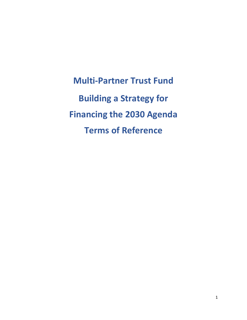**Multi-Partner Trust Fund Building a Strategy for Financing the 2030 Agenda Terms of Reference**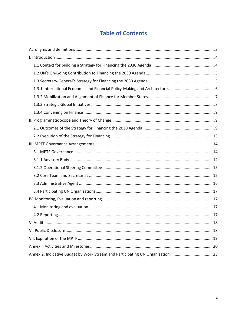## **Table of Contents**

| Annex 2. Indicative Budget by Work Stream and Participating UN Organisation 23 |  |
|--------------------------------------------------------------------------------|--|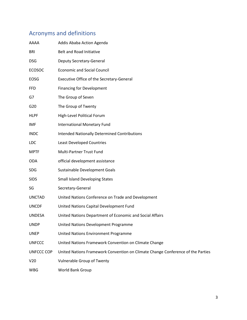# <span id="page-2-0"></span>Acronyms and definitions

| AAAA          | Addis Ababa Action Agenda                                                       |
|---------------|---------------------------------------------------------------------------------|
| <b>BRI</b>    | Belt and Road Initiative                                                        |
| DSG           | <b>Deputy Secretary-General</b>                                                 |
| <b>ECOSOC</b> | <b>Economic and Social Council</b>                                              |
| EOSG          | Executive Office of the Secretary-General                                       |
| FFD           | <b>Financing for Development</b>                                                |
| G7            | The Group of Seven                                                              |
| G20           | The Group of Twenty                                                             |
| <b>HLPF</b>   | High-Level Political Forum                                                      |
| IMF           | International Monetary Fund                                                     |
| <b>INDC</b>   | <b>Intended Nationally Determined Contributions</b>                             |
| LDC           | <b>Least Developed Countries</b>                                                |
| <b>MPTF</b>   | Multi-Partner Trust Fund                                                        |
| ODA           | official development assistance                                                 |
| SDG           | Sustainable Development Goals                                                   |
| <b>SIDS</b>   | <b>Small Island Developing States</b>                                           |
| SG            | Secretary-General                                                               |
| <b>UNCTAD</b> | United Nations Conference on Trade and Development                              |
| <b>UNCDF</b>  | United Nations Capital Development Fund                                         |
| <b>UNDESA</b> | United Nations Department of Economic and Social Affairs                        |
| <b>UNDP</b>   | United Nations Development Programme                                            |
| <b>UNEP</b>   | United Nations Environment Programme                                            |
| <b>UNFCCC</b> | United Nations Framework Convention on Climate Change                           |
| UNFCCC COP    | United Nations Framework Convention on Climate Change Conference of the Parties |
| V20           | <b>Vulnerable Group of Twenty</b>                                               |
| WBG           | World Bank Group                                                                |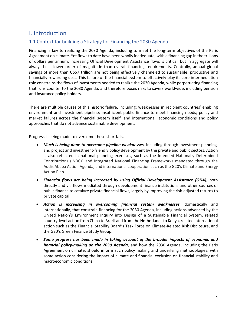### <span id="page-3-0"></span>I. Introduction

#### <span id="page-3-1"></span>1.1 Context for building a Strategy for Financing the 2030 Agenda

Financing is key to realizing the 2030 Agenda, including to meet the long-term objectives of the Paris Agreement on climate. Yet flowsto date have been wholly inadequate, with a financing gap in the trillions of dollars per annum. Increasing Official Development Assistance flows is critical, but in aggregate will always be a lower order of magnitude than overall financing requirements. Centrally, annual global savings of more than US\$7 trillion are not being effectively channeled to sustainable, productive and financially-rewarding uses. This failure of the financial system to effectively play its core intermediation role constrains the flows of investments needed to realize the 2030 Agenda, while perpetuating financing that runs counter to the 2030 Agenda, and therefore poses risks to savers worldwide, including pension and insurance policy-holders.

There are multiple causes of this historic failure, including: weaknesses in recipient countries' enabling environment and investment pipeline; insufficient public finance to meet financing needs; policy and market failures across the financial system itself, and international, economic conditions and policy approaches that do not advance sustainable development.

Progress is being made to overcome these shortfalls.

- *Much is being done to overcome pipeline weaknesses*, including through investment planning, and project and investment-friendly policy development by the private and public sectors. Action is also reflected in national planning exercises, such as the Intended Nationally Determined Contributions (INDCs) and Integrated National Financing Frameworks mandated through the Addis Ababa Action Agenda, and international cooperation such as the G20's Climate and Energy Action Plan.
- *Financial flows are being increased by using Official Development Assistance (ODA)*, both directly and via flows mediated through development finance institutions and other sources of public finance to catalyze private financial flows, largely by improving the risk-adjusted returns to private capital.
- *Action is increasing in overcoming financial system weaknesses*, domestically and internationally, that constrain financing for the 2030 Agenda, including actions advanced by the United Nation's Environment Inquiry into Design of a Sustainable Financial System, related country-level action from China to Brazil and from the Netherlandsto Kenya, related international action such as the Financial Stability Board's Task Force on Climate-Related Risk Disclosure, and the G20's Green Finance Study Group.
- *Some progress has been made in taking account of the broader impacts of economic and financial policy-making on the 2030 Agenda*, and how the 2030 Agenda, including the Paris Agreement on climate, should inform such policy making and underlying methodologies, with some action considering the impact of climate and financial exclusion on financial stability and macroeconomic conditions.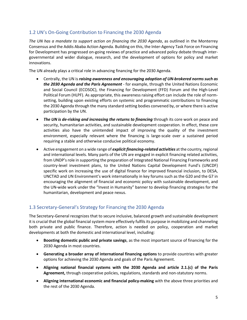#### <span id="page-4-0"></span>1.2 UN's On-Going Contribution to Financing the 2030 Agenda

*The UN has a mandate to support action on financing the 2030 Agenda*, as outlined in the Monterrey Consensus and the Addis Ababa Action Agenda. Building on this, the Inter-Agency Task Force on Financing for Development has progressed on-going reviews of practice and advanced policy debate through intergovernmental and wider dialogue, research, and the development of options for policy and market innovations.

The UN already plays a critical role in advancing financing for the 2030 Agenda.

- Centrally, the UN is *raising awareness and encouraging adoption of UN-brokered norms such as the 2030 Agenda and the Paris Agreement* - for example, through the United Nations Economic and Social Council (ECOSOC), the Financing for Development (FFD) Forum and the High-Level Political Forum (HLPF). As appropriate, this awareness raising effort can include the role of normsetting, building upon existing efforts on systemic and programmatic contributions to financing the 2030 Agenda through the many standard setting bodies convened by, or where there is active participation by the UN.
- *The UN is de-risking and increasing the returns to financing* through its core work on peace and security, humanitarian activities, and sustainable development cooperation. In effect, these core activities also have the unintended impact of improving the quality of the investment environment, especially relevant where the financing is large-scale over a sustained period requiring a stable and otherwise conducive political economy.
- Active engagement on a wide range of *explicit financing-related activities* at the country,regional and international levels. Many parts of the UN are engaged in explicit financing related activities, from UNDP's role in supporting the preparation of Integrated National Financing Frameworks and country-level investment plans, to the United Nations Capital Development Fund's (UNCDF) specific work on increasing the use of digital finance for improved financial inclusion, to DESA, UNCTAD and UN Environment's work internationally in key forums such as the G20 and the G7 in encouraging the alignment of financial and economic policy with sustainable development, and the UN-wide work under the "Invest in Humanity" banner to develop financing strategies for the humanitarian, development and peace nexus.

#### <span id="page-4-1"></span>1.3 Secretary-General's Strategy for Financing the 2030 Agenda

The Secretary-General recognizes that to secure inclusive, balanced growth and sustainable development it is crucial that the global financial system more effectively fulfils its purpose in mobilizing and channeling both private and public finance. Therefore, action is needed on policy, cooperation and market developments at both the domestic and international level, including:

- **Boosting domestic public and private savings**, as the most important source of financing for the 2030 Agenda in most countries.
- **Generating a broader array of international financing options** to provide countries with greater options for achieving the 2030 Agenda and goals of the Paris Agreement.
- **Aligning national financial systems with the 2030 Agenda and article 2.1.(c) of the Paris Agreement,** through cooperative policies, regulations, standards and non-statutory norms.
- **Aligning international economic and financial policy-making** with the above three priorities and the rest of the 2030 Agenda.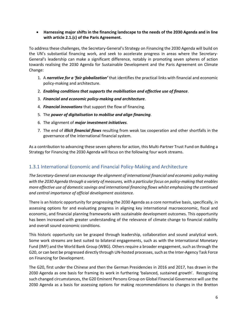**Harnessing major shifts in the financing landscape to the needs of the 2030 Agenda and in line with article 2.1.(c) of the Paris Agreement.**

To address these challenges, the Secretary-General's Strategy on Financing the 2030 Agenda will build on the UN's substantial financing work, and seek to accelerate progress in areas where the Secretary-General's leadership can make a significant difference, notably in promoting seven spheres of action towards realising the 2030 Agenda for Sustainable Development and the Paris Agreement on Climate Change:

- 1. A *narrative for a 'fair globalization'* that identifies the practical links with financial and economic policy-making and architecture.
- 2. *Enabling conditions that supports the mobilisation and effective use of finance*.
- 3. *Financial and economic policy-making and architecture*.
- 4. *Financial innovations* that support the flow of financing.
- 5. The *power of digitalisation to mobilise and align financing*.
- 6. The alignment of *major investment initiatives*.
- 7. The end of *illicit financial flows* resulting from weak tax cooperation and other shortfalls in the governance of the international financial system.

As a contribution to advancing these seven spheres for action, this Multi-Partner Trust Fund on Building a Strategy for Financing the 2030 Agenda will focus on the following four work streams.

#### <span id="page-5-0"></span>1.3.1 International Economic and Financial Policy-Making and Architecture

*The Secretary-General can encourage the alignment of international financial and economic policy making with the 2030 Agenda through a variety of measures, with a particular focus on policy-making that enables more effective use of domestic savings and international financing flows whilst emphasizing the continued and central importance of official development assistance.*

There is an historic opportunity for progressing the 2030 Agenda as a core normative basis, specifically, in assessing options for and evaluating progress in aligning key international macroeconomic, fiscal and economic, and financial planning frameworks with sustainable development outcomes. This opportunity has been increased with greater understanding of the relevance of climate change to financial stability and overall sound economic conditions.

This historic opportunity can be grasped through leadership, collaboration and sound analytical work. Some work streams are best suited to bilateral engagements, such as with the International Monetary Fund (IMF) and the World Bank Group (WBG). Others require a broader engagement, such as through the G20, or can best be progressed directly through UN-hosted processes, such as the Inter-Agency Task Force on Financing for Development.

The G20, first under the Chinese and then the German Presidencies in 2016 and 2017, has drawn in the 2030 Agenda as one basis for framing its work in furthering 'balanced, sustained growth'. Recognizing such changed circumstances, the G20 Eminent Persons Group on Global Financial Governance will use the 2030 Agenda as a basis for assessing options for making recommendations to changes in the Bretton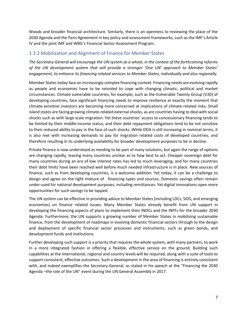Woods and broader financial architecture. Similarly, there is an openness to reviewing the place of the 2030 Agenda and the Paris Agreement in key policy and assessment frameworks, such as the IMF's Article IV and the joint IMF and WBG's Financial Sector Assessment Program.

#### <span id="page-6-0"></span>1.3.2 Mobilization and Alignment of Finance for Member States

*The Secretary-General will encourage the UN system as a whole, in the context of the forthcoming reforms of the UN development system that will provide a stronger 'One UN' approach to Member States' engagement, to enhance its financing related services to Member States, individually and also regionally.*

Member States today face an increasingly complex financing context. Financing needs are evolving rapidly as people and economies have to be retooled to cope with changing climatic, political and market circumstances. Climate vulnerable countries, for example, such as the Vulnerable Twenty Group (V20) of developing countries, face significant financing needs to improve resilience at exactly the moment that climate-sensitive investors are becoming more concerned at implications of climate-related risks. Small island states are facing growing climate-related external shocks, as are countries having to deal with social shocks such as with large scale migration. Yet these countries' access to concessionary financing tends to be limited by their middle-income status, and their debt repayment obligations tend to be not sensitive to their reduced ability to pay in the face of such shocks. While ODA is still increasing in nominal terms, it is also met with increasing demands to pay for migration related costs of developed countries, and therefore resulting in its underlying availability for broader development purposes to be in decline.

Private finance is now understood as needing to be part of many solutions, but again the range of options are changing rapidly, leaving many countries unclear as to how best to act. Cheaper sovereign debt for many countries during an era of low interest rates has led to much leveraging, and for many countries their debt limits have been reached well before much needed infrastructure is in place. New sources of finance, such as from developing countries, is a welcome addition. Yet today, it can be a challenge to design and agree on the right mixture of financing types and sources. Domestic savings often remain under-used for national development purposes, including remittances. Yet digital innovations open more opportunities for such savings to be tapped.

The UN system can be effective in providing advice to Member States (including LDCs, SIDS, and emerging economies) on finance related issues. Many Member States already benefit from UN support in developing the financing aspects of plans to implement their INDCs and the INFFs for the broader 2030 Agenda. Furthermore, the UN supports a growing number of Member States in mobilising sustainable finance, from the development of roadmaps in evolving domestic financial sectors through to the design and deployment of specific financial sector processes and instruments, such as green bonds, and development funds and institutions.

Further developing such support is a priority that requires the whole system, with many partners, to work in a more integrated fashion in offering a flexible, effective service on the ground. Building such capabilities at the international, regional and country levels will be required, along with a suite of tools to support consistent, effective outcomes. Such a development in the area of financing is entirely consistent with, and indeed exemplifies the Secretary-General, as stated in his speech at the "Financing the 2030 Agenda –the role of the UN" event during the UN General Assembly in 2017.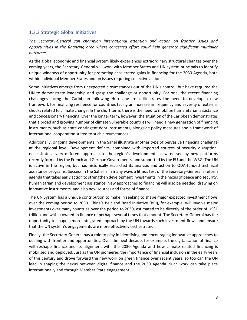#### <span id="page-7-0"></span>1.3.3 Strategic Global Initiatives

*The Secretary-General can champion international attention and action on frontier issues and opportunities in the financing area where concerted effort could help generate significant multiplier outcomes.*

As the global economic and financial system likely experiences extraordinary structural changes over the coming years, the Secretary-General will work with Member States and UN system principals to identify unique windows of opportunity for promoting accelerated gains in financing for the 2030 Agenda, both within individual Member States and on issues requiring collective action.

Some initiatives emerge from unexpected circumstances out of the UN's control, but have required the UN to demonstrate leadership and grasp the challenge or opportunity. For one, the recent financing challenges facing the Caribbean following Hurricane Irma, illustrates the need to develop a new framework for financing resilience for countries facing an increase in frequency and severity of external shocks related to climate change. In the short term, there is the need to mobilize humanitarian assistance and concessionary financing. Over the longer term, however, the situation of the Caribbean demonstrates that a broad and growing number of climate vulnerable countries will need a new generation of financing instruments, such as state-contingent debt instruments, alongside policy measures and a framework of international cooperation suited to such circumstances.

Additionally, ongoing developments in the Sahel illustrate another type of pervasive financing challenge at the regional level. Development deficits, combined with imported sources of security disruption, necessitate a very different approach to the region's development, as witnessed by new platforms recently formed by the French and German Governments, and supported by the EU and the WBG. The UN is active in the region, but has historically restricted its analysis and action to ODA-funded technical assistance programs. Success in the Sahel is in many ways a litmus test of the Secretary-General's reform agenda that takes early action to strengthen development investments in the nexus of peace and security, humanitarian and development assistance. New approaches to financing will also be needed, drawing on innovative instruments, and also new sources and forms of finance.

The UN System has a unique contribution to make in seeking to shape major expected investment flows over the coming period to 2030. China's Belt and Road Initiative (BRI), for example, will involve major investments over many countries over the period to 2030, estimated to be directly of the order of US\$1 trillion and with crowded-in finance of perhaps several times that amount. The Secretary-General has the opportunity to shape a more integrated approach by the UN towards such investment flows and ensure that the UN system's engagements are more effectively orchestrated.

Finally, the Secretary-General has a role to play in identifying and encouraging innovative approaches to dealing with frontier and opportunities. Over the next decade, for example, the digitalisation of finance will reshape finance and its alignment with the 2030 Agenda and how climate related financing is mobilised and deployed. Just as the UN pioneered the importance of financial inclusion in the early years of this century and drove forward the new work on green finance over recent years, so too can the UN lead in shaping the nexus between digital finance and the 2030 Agenda. Such work can take place internationally and through Member State engagement.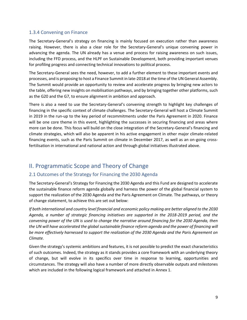#### <span id="page-8-0"></span>1.3.4 Convening on Finance

The Secretary-General's strategy on financing is mainly focused on execution rather than awareness raising. However, there is also a clear role for the Secretary-General's unique convening power in advancing the agenda. The UN already has a venue and process for raising awareness on such issues, including the FFD process, and the HLPF on Sustainable Development, both providing important venues for profiling progress and connecting technical innovations to political process.

The Secretary-General sees the need, however, to add a further element to these important events and processes, and is proposing to host a Finance Summit in late-2018 at the time of the UN General Assembly. The Summit would provide an opportunity to review and accelerate progress by bringing new actors to the table, offering new insights on mobilisation pathways, and by bringing together other platforms, such as the G20 and the G7, to ensure alignment in ambition and approach.

There is also a need to use the Secretary-General's convening strength to highlight key challenges of financing in the specific context of climate challenges. The Secretary-General will host a Climate Summit in 2019 in the run-up to the key period of recommitments under the Paris Agreement in 2020. Finance will be one core theme in this event, highlighting the successes in securing financing and areas where more can be done. This focus will build on the close integration of the Secretary-General's financing and climate strategies, which will also be apparent in his active engagement in other major climate-related financing events, such as the Paris Summit on climate in December 2017, as well as an on-going crossfertilisation in international and national action and through global initiatives illustrated above.

### <span id="page-8-1"></span>II. Programmatic Scope and Theory of Change

#### <span id="page-8-2"></span>2.1 Outcomes of the Strategy for Financing the 2030 Agenda

The Secretary-General's Strategy for Financing the 2030 Agenda and this Fund are designed to accelerate the sustainable finance reform agenda globally and harness the power of the global financial system to support the realization of the 2030 Agenda and the Paris Agreement on Climate. The pathways, or theory of change statement, to achieve this are set out below:

*If both international and country level financial and economic policy making are better aligned to the 2030 Agenda, a number of strategic financing initiatives are supported in the 2018-2019 period, and the convening power of the UN is used to change the narrative around financing for the 2030 Agenda, then the UN will have accelerated the global sustainable finance reform agenda and the power of financing will be more effectively harnessed to support the realization of the 2030 Agenda and the Paris Agreement on Climate.*

Given the strategy's systemic ambitions and features, it is not possible to predict the exact characteristics of such outcomes. Indeed, the strategy as it stands provides a core framework with an underlying theory of change, but will evolve in its specifics over time in response to learning, opportunities and circumstances. The strategy will also have a number of more directly observable outputs and milestones which are included in the following logical framework and attached in Annex 1.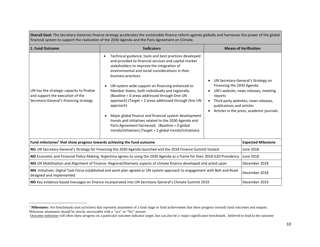|                                                                                                                                                        | <b>Overall Goal:</b> The Secretary-Generals imance strategy accelerates the sustainable imance reform agenua globally and namesses the power of the global<br>financial system to support the realization of the 2030 Agenda and the Paris Agreement on Climate.                                                                                                                                                                                                                                                                                                                                                                                                                                                     |                      |                                                                                                                                                                                                                          |  |
|--------------------------------------------------------------------------------------------------------------------------------------------------------|----------------------------------------------------------------------------------------------------------------------------------------------------------------------------------------------------------------------------------------------------------------------------------------------------------------------------------------------------------------------------------------------------------------------------------------------------------------------------------------------------------------------------------------------------------------------------------------------------------------------------------------------------------------------------------------------------------------------|----------------------|--------------------------------------------------------------------------------------------------------------------------------------------------------------------------------------------------------------------------|--|
| 1. Fund Outcome                                                                                                                                        | <b>Indicators</b><br><b>Means of Verification</b>                                                                                                                                                                                                                                                                                                                                                                                                                                                                                                                                                                                                                                                                    |                      |                                                                                                                                                                                                                          |  |
| UN has the strategic capacity to finalise<br>and support the execution of the<br>Secretary-General's financing strategy                                | Technical guidance, tools and best practices developed<br>$\bullet$<br>and provided to financial services and capital market<br>stakeholders to improve the integration of<br>environmental and social considerations in their<br>business practices.<br>UN system wide support on financing enhanced to<br>Member States, both individually and regionally.<br>(Baseline = 0 areas addressed through One UN<br>approach) (Target = 2 areas addressed through One UN<br>approach)<br>Major global finance and financial system development<br>trends and initiatives related to the 2030 Agenda and<br>Paris Agreement harnessed. (Baseline = 0 global<br>trends/initiatives) (Target = 2 global trends/initiatives) | reports<br>$\bullet$ | UN Secretary-General's Strategy on<br>Financing the 2030 Agenda<br>UN's website, news releases, meeting<br>Third party websites, news releases,<br>publications and articles<br>Articles in the press, academic journals |  |
| Fund milestones <sup>1</sup> that show progress towards achieving the fund outcome                                                                     |                                                                                                                                                                                                                                                                                                                                                                                                                                                                                                                                                                                                                                                                                                                      |                      | <b>Expected Milestone</b>                                                                                                                                                                                                |  |
| M1 UN Secretary-General's Strategy for Financing the 2030 Agenda launched and the 2018 Finance Summit hosted.                                          |                                                                                                                                                                                                                                                                                                                                                                                                                                                                                                                                                                                                                                                                                                                      |                      | <b>June 2018</b>                                                                                                                                                                                                         |  |
| M2 Economic and Financial Policy Making: Argentina agrees to using the 2030 Agenda as a frame for their 2018 G20 Presidency                            |                                                                                                                                                                                                                                                                                                                                                                                                                                                                                                                                                                                                                                                                                                                      |                      | June 2018                                                                                                                                                                                                                |  |
| M3 UN Mobilisation and Alignment of Finance: Regional/thematic aspects of climate finance developed and acted upon                                     |                                                                                                                                                                                                                                                                                                                                                                                                                                                                                                                                                                                                                                                                                                                      |                      | December 2018                                                                                                                                                                                                            |  |
| M4 Initiatives: Digital Task Force established and work plan agreed or UN system approach to engagement with Belt and Road<br>designed and implemented |                                                                                                                                                                                                                                                                                                                                                                                                                                                                                                                                                                                                                                                                                                                      |                      | December 2018                                                                                                                                                                                                            |  |
| M5 Key evidence based messages on finance incorporated into UN Secretary-General's Climate Summit 2019<br>December 2019                                |                                                                                                                                                                                                                                                                                                                                                                                                                                                                                                                                                                                                                                                                                                                      |                      |                                                                                                                                                                                                                          |  |

**Overall Goal:** The Secretary-Generals finance strategy accelerates the sustainable finance reform agenda globally and harnesses the power of the global

l

<sup>&</sup>lt;sup>1</sup> Milestones: Are benchmarks (not activities) that represent attainment of a fund stage or fund achievement that show progress towards fund outcomes and outputs. Milestone attainment should be strictly answerable with a "yes" or "No" answer.

Outcome milestone will often show progress on a particular outcome indicator target, but can also be a major significance benchmark , believed to lead to the outcome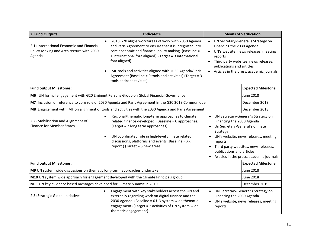| 2. Fund Outputs:                                                                                     | <b>Indicators</b>                                                                                                                                                                                                                                                                                                                                                                                                                |                                                                                                                                                                                                                                     | <b>Means of Verification</b>                                                                                                                                                                       |  |
|------------------------------------------------------------------------------------------------------|----------------------------------------------------------------------------------------------------------------------------------------------------------------------------------------------------------------------------------------------------------------------------------------------------------------------------------------------------------------------------------------------------------------------------------|-------------------------------------------------------------------------------------------------------------------------------------------------------------------------------------------------------------------------------------|----------------------------------------------------------------------------------------------------------------------------------------------------------------------------------------------------|--|
| 2.1) International Economic and Financial<br>Policy-Making and Architecture with 2030<br>Agenda.     | 2018 G20 aligns work/areas of work with 2030 Agenda<br>and Paris Agreement to ensure that it is integrated into<br>core economic and financial policy making. (Baseline =<br>1 international fora aligned). (Target = 3 international<br>fora aligned)<br>IMF tools and activities aligned with 2030 Agenda/Paris<br>$\bullet$<br>Agreement (Baseline = 0 tools and activities) (Target = 3<br>tools and/or activities)          | UN Secretary-General's Strategy on<br>Financing the 2030 Agenda<br>UN's website, news releases, meeting<br>reports<br>Third party websites, news releases,<br>publications and articles<br>Articles in the press, academic journals |                                                                                                                                                                                                    |  |
| <b>Fund output Milestones:</b>                                                                       |                                                                                                                                                                                                                                                                                                                                                                                                                                  |                                                                                                                                                                                                                                     | <b>Expected Milestone</b>                                                                                                                                                                          |  |
| M6 UN formal engagement with G20 Eminent Persons Group on Global Financial Governance                |                                                                                                                                                                                                                                                                                                                                                                                                                                  |                                                                                                                                                                                                                                     | <b>June 2018</b>                                                                                                                                                                                   |  |
| M7 Inclusion of reference to core role of 2030 Agenda and Paris Agreement in the G20 2018 Communique |                                                                                                                                                                                                                                                                                                                                                                                                                                  |                                                                                                                                                                                                                                     | December 2018                                                                                                                                                                                      |  |
| M8 Engagement with IMF on alignment of tools and activities with the 2030 Agenda and Paris Agreement |                                                                                                                                                                                                                                                                                                                                                                                                                                  |                                                                                                                                                                                                                                     | December 2018                                                                                                                                                                                      |  |
| 2.2) Mobilisation and Alignment of<br><b>Finance for Member States</b>                               | Regional/thematic long-term approaches to climate<br>$\bullet$<br>related finance developed. (Baseline = 0 approaches)<br>Financing the 2030 Agenda<br>(Target = 2 long term approaches)<br>$\bullet$<br>Strategy<br>UN coordinated role in high-level climate related<br>$\bullet$<br>discussions, platforms and events (Baseline = XX<br>reports<br>report) (Target = $3$ new areas)<br>$\bullet$<br>publications and articles |                                                                                                                                                                                                                                     | • UN Secretary-General's Strategy on<br>Un Secretary-General's Climate<br>UN's website, news releases, meeting<br>Third party websites, news releases,<br>Articles in the press, academic journals |  |
| <b>Fund output Milestones:</b>                                                                       |                                                                                                                                                                                                                                                                                                                                                                                                                                  |                                                                                                                                                                                                                                     | <b>Expected Milestone</b>                                                                                                                                                                          |  |
| M9 UN system wide discussions on thematic long-term approaches undertaken                            |                                                                                                                                                                                                                                                                                                                                                                                                                                  |                                                                                                                                                                                                                                     | <b>June 2018</b>                                                                                                                                                                                   |  |
| M10 UN system wide approach for engagement developed with the Climate Principals group               |                                                                                                                                                                                                                                                                                                                                                                                                                                  |                                                                                                                                                                                                                                     | <b>June 2018</b>                                                                                                                                                                                   |  |
| M11 UN key evidence based messages developed for Climate Summit in 2019                              |                                                                                                                                                                                                                                                                                                                                                                                                                                  |                                                                                                                                                                                                                                     | December 2019                                                                                                                                                                                      |  |
| 2.3) Strategic Global Initiatives                                                                    | Engagement with key stakeholders across the UN and<br>UN Secretary-General's Strategy on<br>$\bullet$<br>externally regarding work on digital finance and the<br>Financing the 2030 Agenda<br>2030 Agenda. (Baseline = 0 UN system wide thematic<br>UN's website, news releases, meeting<br>engagement) (Target = 2 activities of UN system wide<br>reports<br>thematic engagement)                                              |                                                                                                                                                                                                                                     |                                                                                                                                                                                                    |  |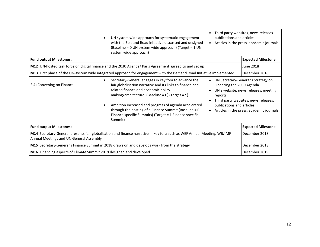|                                                                                                                                                                   | UN system wide approach for systematic engagement<br>$\bullet$<br>with the Belt and Road initiative discussed and designed<br>(Baseline = 0 UN system wide approach) (Target = 1 UN<br>system wide approach)                                                                                                                                                                                                                                                                                                      | Third party websites, news releases,<br>publications and articles<br>Articles in the press, academic journals<br>$\bullet$ |                                                                                                                                                                |
|-------------------------------------------------------------------------------------------------------------------------------------------------------------------|-------------------------------------------------------------------------------------------------------------------------------------------------------------------------------------------------------------------------------------------------------------------------------------------------------------------------------------------------------------------------------------------------------------------------------------------------------------------------------------------------------------------|----------------------------------------------------------------------------------------------------------------------------|----------------------------------------------------------------------------------------------------------------------------------------------------------------|
| <b>Fund output Milestones:</b>                                                                                                                                    |                                                                                                                                                                                                                                                                                                                                                                                                                                                                                                                   | <b>Expected Milestone</b>                                                                                                  |                                                                                                                                                                |
| M12 UN-hosted task force on digital finance and the 2030 Agenda/ Paris Agreement agreed to and set up                                                             |                                                                                                                                                                                                                                                                                                                                                                                                                                                                                                                   |                                                                                                                            | June 2018                                                                                                                                                      |
| M13 First phase of the UN-system wide integrated approach for engagement with the Belt and Road Initiative implemented                                            |                                                                                                                                                                                                                                                                                                                                                                                                                                                                                                                   |                                                                                                                            | December 2018                                                                                                                                                  |
| 2.4) Convening on Finance                                                                                                                                         | Secretary-General engages in key fora to advance the<br>$\bullet$<br>fair globalisation narrative and its links to finance and<br>Financing the 2030 Agenda<br>related finance and economic policy<br>making/architecture. (Baseline = 0) (Target = 2)<br>reports<br>Ambition increased and progress of agenda accelerated<br>publications and articles<br>$\bullet$<br>through the hosting of a Finance Summit (Baseline $= 0$<br>$\bullet$<br>Finance specific Summits) (Target = 1 Finance specific<br>Summit) |                                                                                                                            | UN Secretary-General's Strategy on<br>UN's website, news releases, meeting<br>Third party websites, news releases,<br>Articles in the press, academic journals |
| <b>Fund output Milestones:</b>                                                                                                                                    | <b>Expected Milestone</b>                                                                                                                                                                                                                                                                                                                                                                                                                                                                                         |                                                                                                                            |                                                                                                                                                                |
| M14 Secretary-General presents fair globalisation and finance narrative in key fora such as WEF Annual Meeting, WB/IMF<br>Annual Meetings and UN General Assembly | December 2018                                                                                                                                                                                                                                                                                                                                                                                                                                                                                                     |                                                                                                                            |                                                                                                                                                                |
| M15 Secretary-General's Finance Summit in 2018 draws on and develops work from the strategy                                                                       | December 2018                                                                                                                                                                                                                                                                                                                                                                                                                                                                                                     |                                                                                                                            |                                                                                                                                                                |
| M16 Financing aspects of Climate Summit 2019 designed and developed                                                                                               | December 2019                                                                                                                                                                                                                                                                                                                                                                                                                                                                                                     |                                                                                                                            |                                                                                                                                                                |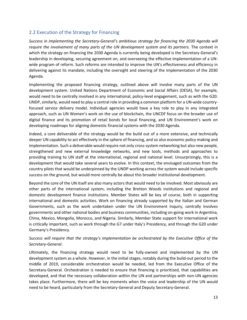#### <span id="page-12-0"></span>2.2 Execution of the Strategy for Financing

*Success in implementing the Secretary-General's ambitious strategy for financing the 2030 Agenda will require the involvement of many parts of the UN development system and its partners.* The context in which the strategy on financing the 2030 Agenda is currently being developed is the Secretary-General's leadership in developing, securing agreement on, and overseeing the effective implementation of a UNwide program of reform. Such reforms are intended to improve the UN's effectiveness and efficiency in delivering against its mandate, including the oversight and steering of the implementation of the 2030 Agenda.

Implementing the proposed financing strategy, outlined above will involve many parts of the UN development system. United Nations Department of Economic and Social Affairs (DESA), for example, would need to be centrally involved in any international, policy-level engagement, such as with the G20. UNDP, similarly, would need to play a central role in providing a common platform for a UN-wide countryfocused service delivery model. Individual agencies would have a key role to play in any integrated approach, such as UN Women's work on the use of blockchain, the UNCDF focus on the broader use of digital finance and its promotion of retail bonds for local financing, and UN Environment's work on developing roadmaps for aligning domestic financial systems with the 2030 Agenda.

Indeed, a core deliverable of the strategy would be the build out of a more extensive, and technically deeper UN capability to act effectively in the sphere of financing, and so also economic policy making and implementation. Such a deliverable would require not only cross-system networking but also new people, strengthened and new external knowledge networks, and new tools, methods and approaches to providing training to UN staff at the international, regional and national level. Unsurprisingly, this is a development that would take several years to evolve. In this context, the envisaged outcomes from the country pilots that would be underpinned by the UNDP working across the system would include specific success on the ground, but would more centrally be about this broader institutional development.

Beyond the core of the UN itself are also many actors that would need to be involved. Most obviously are other parts of the international system, including the Bretton Woods institutions and regional and domestic development finance institutions. Member States will be key of course, both in supporting international and domestic activities. Work on financing already supported by the Italian and German Governments, such as the work undertaken under the UN Environment Inquiry, centrally involves governments and other national bodies and business communities, including on-going work in Argentina, China, Mexico, Mongolia, Morocco, and Nigeria. Similarly, Member State support for international work is critically important, such as work through the G7 under Italy's Presidency, and through the G20 under Germany's Presidency.

#### *Success will require that the strategy's implementation be orchestrated by the Executive Office of the Secretary-General*.

Ultimately, the financing strategy would need to be fully-owned and implemented by the UN development system as a whole. However, in the initial stages, notably during the build-out period to the middle of 2019, considerable orchestration would be needed, led from the Executive Office of the Secretary-General. Orchestration is needed to ensure that financing is prioritized, that capabilities are developed, and that the necessary collaboration within the UN and partnerships with non-UN agencies takes place. Furthermore, there will be key moments when the voice and leadership of the UN would need to be heard, particularly from the Secretary-General and Deputy Secretary-General.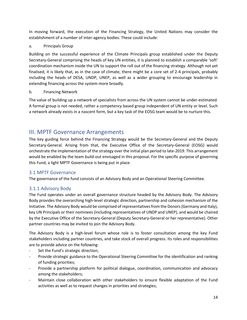In moving forward, the execution of the Financing Strategy, the United Nations may consider the establishment of a number of inter-agency bodies. These could include:

a. Principals Group

Building on the successful experience of the Climate Principals group established under the Deputy Secretary-General comprising the heads of key UN entities, it is planned to establish a comparable 'soft' coordination mechanism inside the UN to support the roll out of the financing strategy. Although not yet finalised, it is likely that, as in the case of climate, there might be a core set of 2-4 principals, probably including the heads of DESA, UNDP, UNEP, as well as a wider grouping to encourage leadership in extending financing across the system more broadly.

#### b. Financing Network

The value of building up a network of specialists from across the UN system cannot be under-estimated. A formal group is not needed, rather a competency based group independent of UN entity or level. Such a network already exists in a nascent form, but a key task of the EOSG team would be to nurture this.

#### <span id="page-13-0"></span>III. MPTF Governance Arrangements

The key guiding force behind the Financing Strategy would be the Secretary-General and the Deputy Secretary-General. Arising from that, the Executive Office of the Secretary-General (EOSG) would orchestrate the implementation of the strategy over the initial plan period to late-2019. This arrangement would be enabled by the team build-out envisaged in this proposal. For the specific purpose of governing this Fund, a light MPTF Governance is being put in place.

#### <span id="page-13-1"></span>3.1 MPTF Governance

The governance of the fund consists of an Advisory Body and an Operational Steering Committee.

#### <span id="page-13-2"></span>3.1.1 Advisory Body

The Fund operates under an overall governance structure headed by the Advisory Body. The Advisory Body provides the overarching high-level strategic direction, partnership and cohesion mechanism of the Initiative. The Advisory Body would be comprised of representatives from the Donors (Germany and Italy), key UN Principals or their nominees (including representatives of UNDP and UNEP), and would be chaired by the Executive Office of the Secretary-General (Deputy Secretary-General or her representative). Other partner countries may be invited to join the Advisory Body.

The Advisory Body is a high-level forum whose role is to foster consultation among the key Fund stakeholders including partner countries, and take stock of overall progress. Its roles and responsibilities are to provide advice on the following:

- Set the Fund's strategic direction;
- Provide strategic guidance to the Operational Steering Committee for the identification and ranking of funding priorities;
- Provide a partnership platform for political dialogue, coordination, communication and advocacy among the stakeholders;
- Maintain close collaboration with other stakeholders to ensure flexible adaptation of the Fund activities as well as to request changes in priorities and strategies;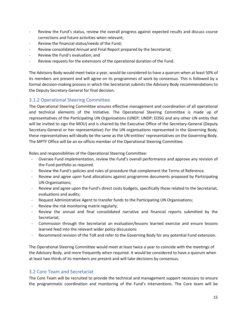- Review the Fund's status, review the overall progress against expected results and discuss course corrections and future activities when relevant;
- Review the financial status/needs of the Fund;
- Review consolidated Annual and Final Report prepared by the Secretariat;
- Review the Fund's evaluation; and
- Review requests for the extensions of the operational duration of the Fund.

The Advisory Body would meet twice a year, would be considered to have a quorum when at least 50% of its members are present and will agree on its programmes of work by consensus. This is followed by a formal decision-making process in which the Secretariat submits the Advisory Body recommendations to the Deputy Secretary-General for final decision.

#### <span id="page-14-0"></span>3.1.2 Operational Steering Committee

The Operational Steering Committee ensures effective management and coordination of all operational and technical elements of the Initiative. The Operational Steering Committee is made up of representatives of the Participating UN Organisations (UNEP; UNDP; EOSG and any other UN entity that will be invited to sign the MOU) and is chaired by the Executive Office of the Secretary-General (Deputy Secretary-General or her representative) For the UN organisations represented in the Governing Body, these representatives will ideally be the same as the UN entities' representatives on the Governing Body. The MPTF Office will be an ex-officio member of the Operational Steering Committee.

Roles and responsibilities of the Operational Steering Committee:

- Oversee Fund implementation, review the Fund's overall performance and approve any revision of the Fund portfolio as required.
- Review the Fund's policies and rules of procedure that complement the Terms of Reference.
- Review and agree upon fund allocations against programme documents proposed by Participating UN Organisations;
- Review and agree upon the Fund's direct costs budgets, specifically those related to the Secretariat, evaluations and audits;
- Request Administrative Agent to transfer funds to the Participating UN Organisations;
- Review the risk monitoring matrix regularly;
- Review the annual and final consolidated narrative and financial reports submitted by the Secretariat;
- Commission through the Secretariat an evaluation/lessons learned exercise and ensure lessons learned feed into the relevant wider policy discussions
- Recommend revision of the ToR and refer to the Governing Body for any potential Fund extension.

The Operational Steering Committee would meet at least twice a year to coincide with the meetings of the Advisory Body, and more frequently when required. It would be considered to have a quorum when at least two thirds of its members are present and will take decisions by consensus.

#### <span id="page-14-1"></span>3.2 Core Team and Secretariat

The Core Team will be recruited to provide the technical and management support necessary to ensure the programmatic coordination and monitoring of the Fund's Interventions. The Core team will be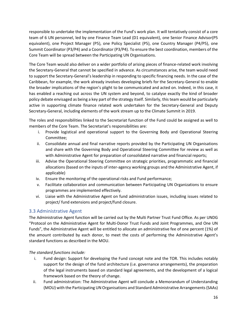responsible to undertake the implementation of the Fund's work plan. It will tentatively consist of a core team of 6 UN personnel, led by one Finance Team Lead (D1 equivalent), one Senior Finance Advisor(P5 equivalent), one Project Manager (P5), one Policy Specialist (P5), one Country Manager (P4/P5), one Summit Coordinator (P3/P4) and a Coordinator (P3/P4). To ensure the best coordination, members of the Core Team will be spread between the Participating UN Organisations.

The Core Team would also deliver on a wider portfolio of arising pieces of finance-related work involving the Secretary-General that cannot be specified in advance. As circumstances arise, the team would need to support the Secretary-General's leadership in responding to specific financing needs. In the case of the Caribbean, for example, the work already involves developing briefs for the Secretary-General to enable the broader implications of the region's plight to be communicated and acted on. Indeed, in this case, it has enabled a reaching out across the UN system and beyond, to catalyse exactly the kind of broader policy debate envisaged as being a key part of the strategy itself. Similarly, this team would be particularly active in supporting climate finance related work undertaken for the Secretary-General and Deputy Secretary-General, including elements of the work stream up to the Climate Summit in 2019.

The roles and responsibilities linked to the Secretariat function of the Fund could be assigned as well to members of the Core Team. The Secretariat's responsibilities are:

- i. Provide logistical and operational support to the Governing Body and Operational Steering Committee;
- ii. Consolidate annual and final narrative reports provided by the Participating UN Organisations and share with the Governing Body and Operational Steering Committee for review as well as with Administrative Agent for preparation of consolidated narrative and financial reports;
- iii. Advise the Operational Steering Committee on strategic priorities, programmatic and financial allocations (based on the inputs of inter-agency working groups and the Administrative Agent, if applicable)
- iv. Ensure the monitoring of the operational risks and Fund performance;
- v. Facilitate collaboration and communication between Participating UN Organizations to ensure programmes are implemented effectively.
- vi. Liaise with the Administrative Agent on fund administration issues, including issues related to project/ fund extensions and project/fund closure.

#### <span id="page-15-0"></span>3.3 Administrative Agent

The Administrative Agent function will be carried out by the Multi Partner Trust Fund Office. As per UNDG "Protocol on the Administrative Agent for Multi-Donor Trust Funds and Joint Programmes, and One UN Funds", the Administrative Agent will be entitled to allocate an administrative fee of one percent (1%) of the amount contributed by each donor, to meet the costs of performing the Administrative Agent's standard functions as described in the MOU.

*The standard functions include:*

- i. Fund design: Support for developing the Fund concept note and the TOR. This includes notably support for the design of the fund architecture (i.e. governance arrangements), the preparation of the legal instruments based on standard legal agreements, and the development of a logical framework based on the theory of change.
- ii. Fund administration: The Administrative Agent will conclude a Memorandum of Understanding (MOU) with the Participating UN Organisations and Standard Administrative Arrangements (SAAs)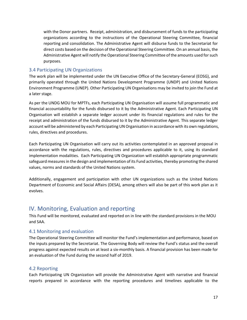with the Donor partners. Receipt, administration, and disbursement of funds to the participating organizations according to the instructions of the Operational Steering Committee, financial reporting and consolidation. The Administrative Agent will disburse funds to the Secretariat for direct costs based on the decision of the Operational Steering Committee. On an annual basis, the Administrative Agent will notify the Operational Steering Committee of the amounts used for such purposes.

#### <span id="page-16-0"></span>3.4 Participating UN Organizations

The work plan will be implemented under the UN Executive Office of the Secretary-General (EOSG), and primarily operated through the United Nations Development Programme (UNDP) and United Nations Environment Programme (UNEP). Other Participating UN Organisations may be invited to join the Fund at a later stage.

As per the UNDG MOU for MPTFs, each Participating UN Organisation will assume full programmatic and financial accountability for the funds disbursed to it by the Administrative Agent. Each Participating UN Organisation will establish a separate ledger account under its financial regulations and rules for the receipt and administration of the funds disbursed to it by the Administrative Agent. This separate ledger account will be administered by each Participating UN Organisation in accordance with its own regulations, rules, directives and procedures.

Each Participating UN Organisation will carry out its activities contemplated in an approved proposal in accordance with the regulations, rules, directives and procedures applicable to it, using its standard implementation modalities. Each Participating UN Organization will establish appropriate programmatic safeguard measures in the design and implementation of its Fund activities, thereby promoting the shared values, norms and standards of the United Nations system.

Additionally, engagement and participation with other UN organizations such as the United Nations Department of Economic and Social Affairs (DESA), among others will also be part of this work plan as it evolves.

### <span id="page-16-1"></span>IV. Monitoring, Evaluation and reporting

This Fund will be monitored, evaluated and reported on in line with the standard provisions in the MOU and SAA.

#### <span id="page-16-2"></span>4.1 Monitoring and evaluation

The Operational Steering Committee will monitor the Fund's implementation and performance, based on the inputs prepared by the Secretariat. The Governing Body will review the Fund's status and the overall progress against expected results on at least a six-monthly basis. A financial provision has been made for an evaluation of the Fund during the second half of 2019.

#### <span id="page-16-3"></span>4.2 Reporting

Each Participating UN Organization will provide the Administrative Agent with narrative and financial reports prepared in accordance with the reporting procedures and timelines applicable to the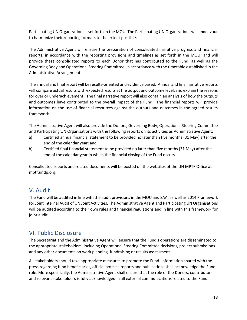Participating UN Organization as set forth in the MOU. The Participating UN Organizations will endeavour to harmonize their reporting formats to the extent possible.

The Administrative Agent will ensure the preparation of consolidated narrative progress and financial reports, in accordance with the reporting provisions and timelines as set forth in the MOU, and will provide these consolidated reports to each Donor that has contributed to the Fund, as well as the Governing Body and Operational Steering Committee, in accordance with the timetable established in the Administrative Arrangement.

The annual and final report will be results-oriented and evidence based. Annual and final narrative reports will compare actual results with expected results at the output and outcome level, and explain the reasons for over or underachievement. The final narrative report will also contain an analysis of how the outputs and outcomes have contributed to the overall impact of the Fund. The financial reports will provide information on the use of financial resources against the outputs and outcomes in the agreed results framework.

The Administrative Agent will also provide the Donors, Governing Body, Operational Steering Committee and Participating UN Organizations with the following reports on its activities as Administrative Agent:

- a) Certified annual financial statement to be provided no later than five months (31 May) after the end of the calendar year; and
- b) Certified final financial statement to be provided no later than five months (31 May) after the end of the calendar year in which the financial closing of the Fund occurs.

Consolidated reports and related documents will be posted on the websites of the UN MPTF Office at mptf.undp.org.

### <span id="page-17-0"></span>V. Audit

The Fund will be audited in line with the audit provisions in the MOU and SAA, as well as 2014 Framework for Joint Internal Audit of UN Joint Activities. The Administrative Agent and Participating UN Organisations will be audited according to their own rules and financial regulations and in line with this framework for joint audit.

### <span id="page-17-1"></span>VI. Public Disclosure

The Secretariat and the Administrative Agent will ensure that the Fund's operations are disseminated to the appropriate stakeholders, including Operational Steering Committee decisions, project submissions and any other documents on work planning, fundraising or results assessment.

All stakeholders should take appropriate measures to promote the Fund. Information shared with the press regarding fund beneficiaries, official notices, reports and publications shall acknowledge the Fund role. More specifically, the Administrative Agent shall ensure that the role of the Donors, contributors and relevant stakeholders is fully acknowledged in all external communications related to the Fund.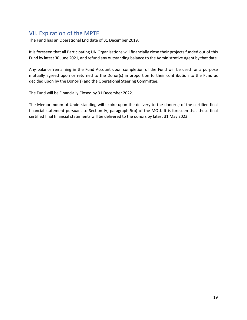### <span id="page-18-0"></span>VII. Expiration of the MPTF

The Fund has an Operational End date of 31 December 2019.

It is foreseen that all Participating UN Organisations will financially close their projects funded out of this Fund by latest 30 June 2021, and refund any outstanding balance to the Administrative Agent by that date.

Any balance remaining in the Fund Account upon completion of the Fund will be used for a purpose mutually agreed upon or returned to the Donor(s) in proportion to their contribution to the Fund as decided upon by the Donor(s) and the Operational Steering Committee.

The Fund will be Financially Closed by 31 December 2022.

<span id="page-18-1"></span>The Memorandum of Understanding will expire upon the delivery to the donor(s) of the certified final financial statement pursuant to Section IV, paragraph 5(b) of the MOU. It is foreseen that these final certified final financial statements will be delivered to the donors by latest 31 May 2023.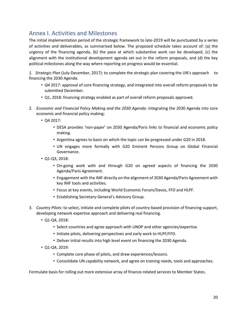### Annex I. Activities and Milestones

The initial implementation period of the strategic framework to late-2019 will be punctuated by a series of activities and deliverables, as summarised below. The proposed schedule takes account of: (a) the urgency of the financing agenda, (b) the pace at which substantive work can be developed, (c) the alignment with the institutional development agenda set out in the reform proposals, and (d) the key political milestones along the way where reporting on progress would be essential.

*1. Strategic Plan* (July-December, 2017): to complete the strategic plan covering the UN's approach to financing the 2030 Agenda.

- *Q4* 2017: approval of core financing strategy, and integrated into overall reform proposals to be submitted December.
- Q1, 2018: financing strategy enabled as part of overall reform proposals approved.
- 2. *Economic and Financial Policy Making and the 2030 Agenda*: integrating the 2030 Agenda into core economic and financial policy making:
	- Q4 2017:
		- DESA provides 'non-paper' on 2030 Agenda/Paris links to financial and economic policy making.
		- Argentina agrees to basis on which the topic can be progressed under G20 in 2018.
		- UN engages more formally with G20 Eminent Persons Group on Global Financial Governance.
	- Q1-Q3, 2018:
		- On-going work with and through G20 on agreed aspects of financing the 2030 Agenda/Paris Agreement.
		- Engagement with the IMF directly on the alignment of 2030 Agenda/Paris Agreement with key IMF tools and activities.
		- Focus at key events, including World Economic Forum/Davos, FFD and HLPF.
		- Establishing Secretary-General's Advisory Group.
- 3. *Country Pilots*: to select, initiate and complete pilots of country-based provision of financing support, developing network expertise approach and delivering real financing.
	- Q1-Q4, 2018:
		- Select countries and agree approach with UNDP and other agencies/expertise.
		- Initiate pilots, delivering perspectives and early work to HLPF/FFD.
		- Deliver initial results into high level event on financing the 2030 Agenda.
	- Q1-Q4, 2019:
		- Complete core phase of pilots, and draw experiences/lessons.
		- Consolidate UN capability network, and agree on training needs, tools and approaches.

Formulate basis for rolling out more extensive array of finance-related services to Member States.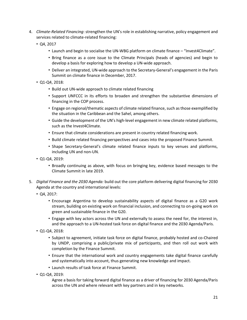- 4. *Climate-Related Financing*: strengthen the UN's role in establishing narrative, policy engagement and services related to climate-related financing:
	- Q4, 2017
		- Launch and begin to socialise the UN-WBG platform on climate finance "Invest4Climate".
		- Bring finance as a core issue to the Climate Principals (heads of agencies) and begin to develop a basis for exploring how to develop a UN-wide approach.
		- Deliver an integrated, UN-wide approach to the Secretary-General's engagement in the Paris Summit on climate finance in December, 2017.
	- Q1-Q4, 2018:
		- Build out UN-wide approach to climate related financing
		- Support UNFCCC in its efforts to broaden and strengthen the substantive dimensions of financing in the COP process.
		- Engage on regional/thematic aspects of climate related finance, such as those exemplified by the situation in the Caribbean and the Sahel, among others.
		- Guide the development of the UN's high-level engagement in new climate related platforms, such as the Invest4Climate.
		- Ensure that climate considerations are present in country related financing work.
		- Build climate related financing perspectives and cases into the proposed Finance Summit.
		- Shape Secretary-General's climate related finance inputs to key venues and platforms, including UN and non-UN.
	- Q1-Q4, 2019:
		- Broadly continuing as above, with focus on bringing key, evidence based messages to the Climate Summit in late 2019.
- 5. *Digital Finance and the 2030 Agenda:* build out the core platform delivering digital financing for 2030 Agenda at the country and international levels:
	- Q4, 2017:
		- Encourage Argentina to develop sustainability aspects of digital finance as a G20 work stream, building on existing work on financial inclusion, and connecting to on-going work on green and sustainable finance in the G20.
		- Engage with key actors across the UN and externally to assess the need for, the interest in, and the approach to a UN-hosted task force on digital finance and the 2030 Agenda/Paris.
	- Q1-Q4, 2018:
		- Subject to agreement, initiate task force on digital finance, probably hosted and co-Chaired by UNDP, comprising a public/private mix of participants, and then roll out work with completion by the Finance Summit.
		- Ensure that the international work and country engagements take digital finance carefully and systematically into account, thus generating new knowledge and impact.
		- Launch results of task force at Finance Summit.
	- Q1-Q4, 2019:

Agree a basis for taking forward digital finance as a driver of financing for 2030 Agenda/Paris across the UN and where relevant with key partners and in key networks.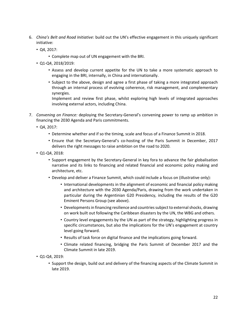- 6. *China's Belt and Road Initiative*: build out the UN's effective engagement in this uniquely significant initiative:
	- Q4, 2017:
		- Complete map out of UN engagement with the BRI.
	- Q1-Q4, 2018/2019:
		- Assess and develop current appetite for the UN to take a more systematic approach to engaging in the BRI, internally, in China and internationally.
		- Subject to the above, design and agree a first phase of taking a more integrated approach through an internal process of evolving coherence, risk management, and complementary synergies.

Implement and review first phase, whilst exploring high levels of integrated approaches involving external actors, including China.

- 7. *Convening on Finance:* deploying the Secretary-General's convening power to ramp up ambition in financing the 2030 Agenda and Paris commitments.
	- Q4, 2017:
		- Determine whether and if so the timing, scale and focus of a Finance Summit in 2018.
		- Ensure that the Secretary-General's co-hosting of the Paris Summit in December, 2017 delivers the right messages to raise ambition on the road to 2020.
	- Q1-Q4, 2018:
		- Support engagement by the Secretary-General in key fora to advance the fair globalisation narrative and its links to financing and related financial and economic policy making and architecture, etc.
		- Develop and deliver a Finance Summit, which could include a focus on (illustrative only):
			- International developments in the alignment of economic and financial policy making and architecture with the 2030 Agenda/Paris, drawing from the work undertaken in particular during the Argentinian G20 Presidency, including the results of the G20 Eminent Persons Group (see above).
			- Developments in financing resilience and countries subject to external shocks, drawing on work built out following the Caribbean disasters by the UN, the WBG and others.
			- Country level engagements by the UN as part of the strategy, highlighting progress in specific circumstances, but also the implications for the UN's engagement at country level going forward.
			- Results of task force on digital finance and the implications going forward.
			- Climate related financing, bridging the Paris Summit of December 2017 and the Climate Summit in late 2019.
	- Q1-Q4, 2019:
		- Support the design, build out and delivery of the financing aspects of the Climate Summit in late 2019.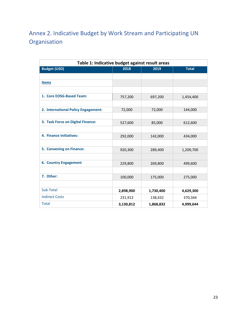# <span id="page-22-0"></span>Annex 2. Indicative Budget by Work Stream and Participating UN **Organisation**

| Table 1: Indicative budget against result areas |           |           |              |
|-------------------------------------------------|-----------|-----------|--------------|
| <b>Budget (USD)</b>                             | 2018      | 2019      | <b>Total</b> |
|                                                 |           |           |              |
| <b>Items</b>                                    |           |           |              |
|                                                 |           |           |              |
| 1. Core EOSG-Based Team:                        | 757,200   | 697,200   | 1,454,400    |
|                                                 |           |           |              |
| 2. International Policy Engagement:             | 72,000    | 72,000    | 144,000      |
|                                                 |           |           |              |
| 3. Task Force on Digital Finance:               | 527,600   | 85,000    | 612,600      |
|                                                 |           |           |              |
| 4. Finance Initiatives:                         | 292,000   | 142,000   | 434,000      |
|                                                 |           |           |              |
| 5. Convening on Finance:                        | 920,300   | 289,400   | 1,209,700    |
|                                                 |           |           |              |
| <b>6. Country Engagement</b>                    | 229,800   | 269,800   | 499,600      |
|                                                 |           |           |              |
| 7. Other:                                       | 100,000   | 175,000   | 275,000      |
|                                                 |           |           |              |
| Sub-Total                                       | 2,898,900 | 1,730,400 | 4,629,300    |
| <b>Indirect Costs</b>                           | 231,912   | 138,432   | 370,344      |
| <b>Total</b>                                    | 3,130,812 | 1,868,832 | 4,999,644    |